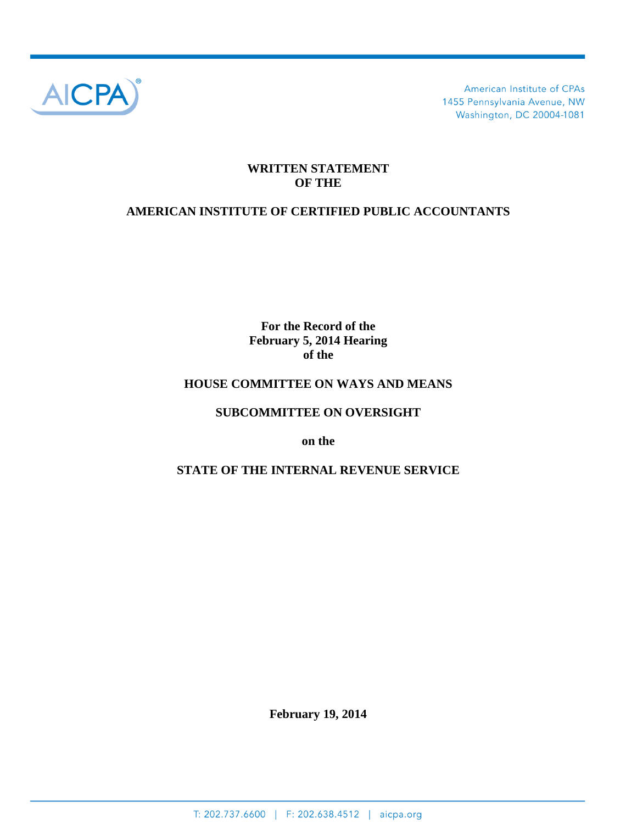

American Institute of CPAs 1455 Pennsylvania Avenue, NW Washington, DC 20004-1081

### **WRITTEN STATEMENT OF THE**

# **AMERICAN INSTITUTE OF CERTIFIED PUBLIC ACCOUNTANTS**

**For the Record of the February 5, 2014 Hearing of the**

### **HOUSE COMMITTEE ON WAYS AND MEANS**

#### **SUBCOMMITTEE ON OVERSIGHT**

**on the**

### **STATE OF THE INTERNAL REVENUE SERVICE**

**February 19, 2014**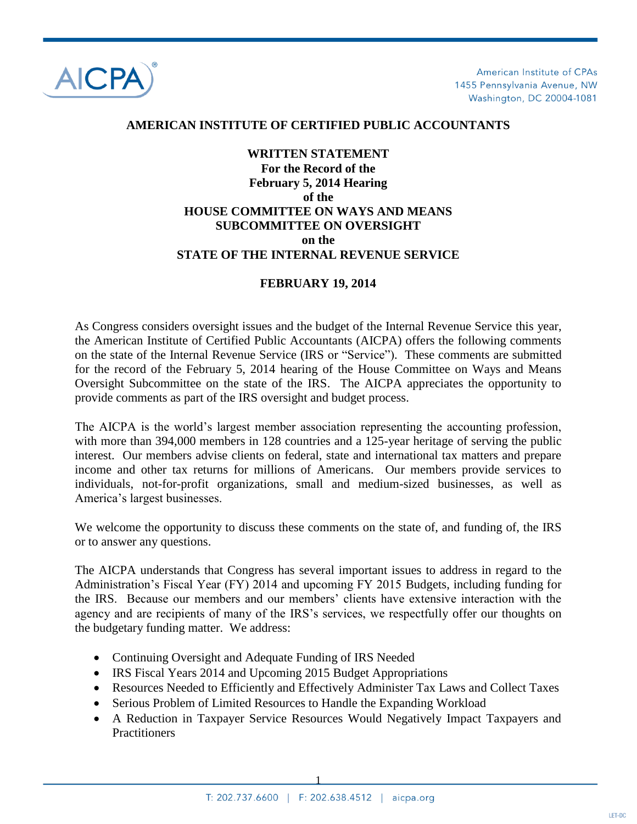

American Institute of CPAs 1455 Pennsylvania Avenue, NW Washington, DC 20004-1081

#### **AMERICAN INSTITUTE OF CERTIFIED PUBLIC ACCOUNTANTS**

## **WRITTEN STATEMENT For the Record of the February 5, 2014 Hearing of the HOUSE COMMITTEE ON WAYS AND MEANS SUBCOMMITTEE ON OVERSIGHT on the STATE OF THE INTERNAL REVENUE SERVICE**

#### **FEBRUARY 19, 2014**

As Congress considers oversight issues and the budget of the Internal Revenue Service this year, the American Institute of Certified Public Accountants (AICPA) offers the following comments on the state of the Internal Revenue Service (IRS or "Service"). These comments are submitted for the record of the February 5, 2014 hearing of the House Committee on Ways and Means Oversight Subcommittee on the state of the IRS. The AICPA appreciates the opportunity to provide comments as part of the IRS oversight and budget process.

The AICPA is the world"s largest member association representing the accounting profession, with more than 394,000 members in 128 countries and a 125-year heritage of serving the public interest. Our members advise clients on federal, state and international tax matters and prepare income and other tax returns for millions of Americans. Our members provide services to individuals, not-for-profit organizations, small and medium-sized businesses, as well as America"s largest businesses.

We welcome the opportunity to discuss these comments on the state of, and funding of, the IRS or to answer any questions.

The AICPA understands that Congress has several important issues to address in regard to the Administration"s Fiscal Year (FY) 2014 and upcoming FY 2015 Budgets, including funding for the IRS. Because our members and our members" clients have extensive interaction with the agency and are recipients of many of the IRS"s services, we respectfully offer our thoughts on the budgetary funding matter. We address:

- Continuing Oversight and Adequate Funding of IRS Needed
- IRS Fiscal Years 2014 and Upcoming 2015 Budget Appropriations
- Resources Needed to Efficiently and Effectively Administer Tax Laws and Collect Taxes
- Serious Problem of Limited Resources to Handle the Expanding Workload
- A Reduction in Taxpayer Service Resources Would Negatively Impact Taxpayers and **Practitioners**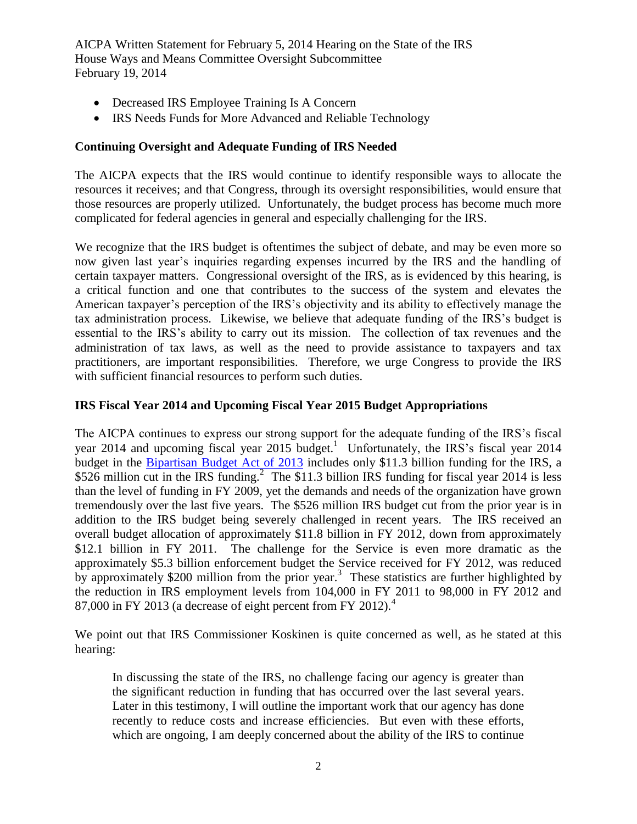- Decreased IRS Employee Training Is A Concern
- IRS Needs Funds for More Advanced and Reliable Technology

#### **Continuing Oversight and Adequate Funding of IRS Needed**

The AICPA expects that the IRS would continue to identify responsible ways to allocate the resources it receives; and that Congress, through its oversight responsibilities, would ensure that those resources are properly utilized. Unfortunately, the budget process has become much more complicated for federal agencies in general and especially challenging for the IRS.

We recognize that the IRS budget is oftentimes the subject of debate, and may be even more so now given last year's inquiries regarding expenses incurred by the IRS and the handling of certain taxpayer matters. Congressional oversight of the IRS, as is evidenced by this hearing, is a critical function and one that contributes to the success of the system and elevates the American taxpayer"s perception of the IRS"s objectivity and its ability to effectively manage the tax administration process. Likewise, we believe that adequate funding of the IRS"s budget is essential to the IRS"s ability to carry out its mission. The collection of tax revenues and the administration of tax laws, as well as the need to provide assistance to taxpayers and tax practitioners, are important responsibilities. Therefore, we urge Congress to provide the IRS with sufficient financial resources to perform such duties.

### **IRS Fiscal Year 2014 and Upcoming Fiscal Year 2015 Budget Appropriations**

The AICPA continues to express our strong support for the adequate funding of the IRS"s fiscal year 2014 and upcoming fiscal year 2015 budget.<sup>1</sup> Unfortunately, the IRS's fiscal year 2014 budget in the [Bipartisan Budget Act of 2013](http://www.gpo.gov/fdsys/pkg/BILLS-113hjres59enr/pdf/BILLS-113hjres59enr.pdf) includes only \$11.3 billion funding for the IRS, a \$526 million cut in the IRS funding.<sup>2</sup> The \$11.3 billion IRS funding for fiscal year 2014 is less than the level of funding in FY 2009, yet the demands and needs of the organization have grown tremendously over the last five years. The \$526 million IRS budget cut from the prior year is in addition to the IRS budget being severely challenged in recent years. The IRS received an overall budget allocation of approximately \$11.8 billion in FY 2012, down from approximately \$12.1 billion in FY 2011. The challenge for the Service is even more dramatic as the approximately \$5.3 billion enforcement budget the Service received for FY 2012, was reduced by approximately \$200 million from the prior year.<sup>3</sup> These statistics are further highlighted by the reduction in IRS employment levels from 104,000 in FY 2011 to 98,000 in FY 2012 and 87,000 in FY 2013 (a decrease of eight percent from FY 2012). $4$ 

We point out that IRS Commissioner Koskinen is quite concerned as well, as he stated at this hearing:

In discussing the state of the IRS, no challenge facing our agency is greater than the significant reduction in funding that has occurred over the last several years. Later in this testimony, I will outline the important work that our agency has done recently to reduce costs and increase efficiencies. But even with these efforts, which are ongoing, I am deeply concerned about the ability of the IRS to continue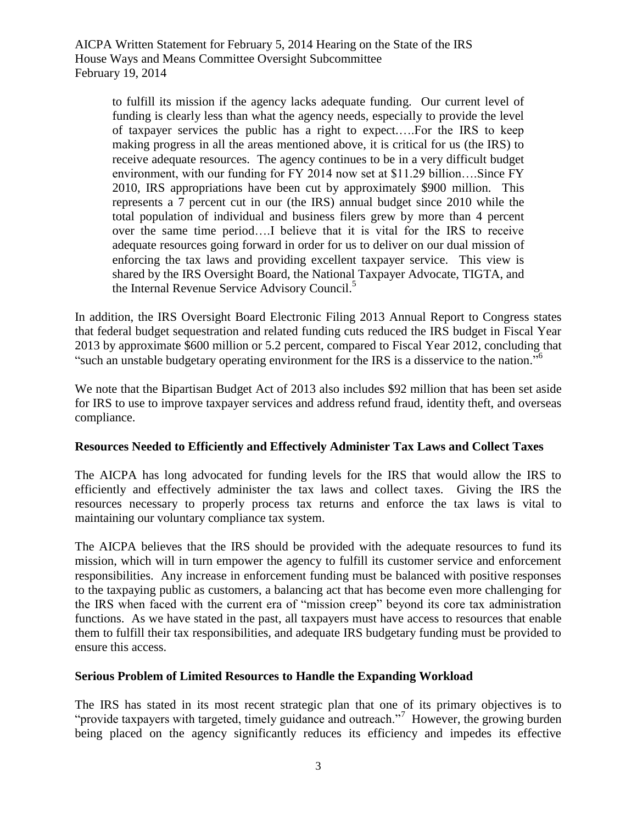to fulfill its mission if the agency lacks adequate funding. Our current level of funding is clearly less than what the agency needs, especially to provide the level of taxpayer services the public has a right to expect.….For the IRS to keep making progress in all the areas mentioned above, it is critical for us (the IRS) to receive adequate resources. The agency continues to be in a very difficult budget environment, with our funding for FY 2014 now set at \$11.29 billion….Since FY 2010, IRS appropriations have been cut by approximately \$900 million. This represents a 7 percent cut in our (the IRS) annual budget since 2010 while the total population of individual and business filers grew by more than 4 percent over the same time period….I believe that it is vital for the IRS to receive adequate resources going forward in order for us to deliver on our dual mission of enforcing the tax laws and providing excellent taxpayer service. This view is shared by the IRS Oversight Board, the National Taxpayer Advocate, TIGTA, and the Internal Revenue Service Advisory Council.<sup>5</sup>

In addition, the IRS Oversight Board Electronic Filing 2013 Annual Report to Congress states that federal budget sequestration and related funding cuts reduced the IRS budget in Fiscal Year 2013 by approximate \$600 million or 5.2 percent, compared to Fiscal Year 2012, concluding that "such an unstable budgetary operating environment for the IRS is a disservice to the nation."

We note that the Bipartisan Budget Act of 2013 also includes \$92 million that has been set aside for IRS to use to improve taxpayer services and address refund fraud, identity theft, and overseas compliance.

#### **Resources Needed to Efficiently and Effectively Administer Tax Laws and Collect Taxes**

The AICPA has long advocated for funding levels for the IRS that would allow the IRS to efficiently and effectively administer the tax laws and collect taxes. Giving the IRS the resources necessary to properly process tax returns and enforce the tax laws is vital to maintaining our voluntary compliance tax system.

The AICPA believes that the IRS should be provided with the adequate resources to fund its mission, which will in turn empower the agency to fulfill its customer service and enforcement responsibilities. Any increase in enforcement funding must be balanced with positive responses to the taxpaying public as customers, a balancing act that has become even more challenging for the IRS when faced with the current era of "mission creep" beyond its core tax administration functions. As we have stated in the past, all taxpayers must have access to resources that enable them to fulfill their tax responsibilities, and adequate IRS budgetary funding must be provided to ensure this access.

#### **Serious Problem of Limited Resources to Handle the Expanding Workload**

The IRS has stated in its most recent strategic plan that one of its primary objectives is to "provide taxpayers with targeted, timely guidance and outreach."<sup>7</sup> However, the growing burden being placed on the agency significantly reduces its efficiency and impedes its effective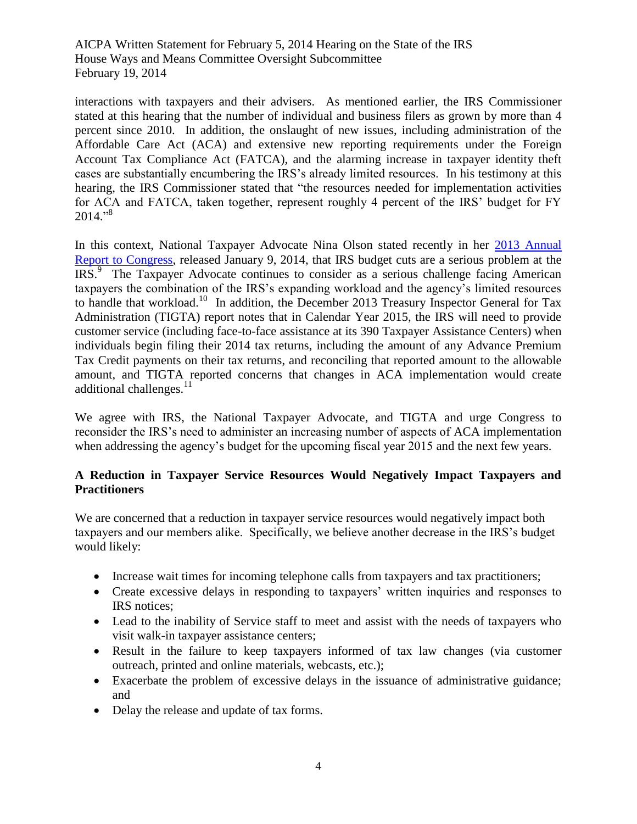interactions with taxpayers and their advisers. As mentioned earlier, the IRS Commissioner stated at this hearing that the number of individual and business filers as grown by more than 4 percent since 2010. In addition, the onslaught of new issues, including administration of the Affordable Care Act (ACA) and extensive new reporting requirements under the Foreign Account Tax Compliance Act (FATCA), and the alarming increase in taxpayer identity theft cases are substantially encumbering the IRS"s already limited resources. In his testimony at this hearing, the IRS Commissioner stated that "the resources needed for implementation activities for ACA and FATCA, taken together, represent roughly 4 percent of the IRS" budget for FY 2014." 8

In this context, National Taxpayer Advocate Nina Olson stated recently in her [2013 Annual](http://www.taxpayeradvocate.irs.gov/userfiles/file/2013FullReport/IRS-BUDGET-The-IRS-Desperately-Needs-More-Funding-to-Serve-Taxpayers-and-Increase-Voluntary-Compliance.pdf)  [Report to Congress,](http://www.taxpayeradvocate.irs.gov/userfiles/file/2013FullReport/IRS-BUDGET-The-IRS-Desperately-Needs-More-Funding-to-Serve-Taxpayers-and-Increase-Voluntary-Compliance.pdf) released January 9, 2014, that IRS budget cuts are a serious problem at the IRS.<sup>9</sup> The Taxpayer Advocate continues to consider as a serious challenge facing American taxpayers the combination of the IRS"s expanding workload and the agency"s limited resources to handle that workload.<sup>10</sup> In addition, the December 2013 Treasury Inspector General for Tax Administration (TIGTA) report notes that in Calendar Year 2015, the IRS will need to provide customer service (including face-to-face assistance at its 390 Taxpayer Assistance Centers) when individuals begin filing their 2014 tax returns, including the amount of any Advance Premium Tax Credit payments on their tax returns, and reconciling that reported amount to the allowable amount, and TIGTA reported concerns that changes in ACA implementation would create additional challenges. $^{11}$ 

We agree with IRS, the National Taxpayer Advocate, and TIGTA and urge Congress to reconsider the IRS"s need to administer an increasing number of aspects of ACA implementation when addressing the agency's budget for the upcoming fiscal year 2015 and the next few years.

## **A Reduction in Taxpayer Service Resources Would Negatively Impact Taxpayers and Practitioners**

We are concerned that a reduction in taxpayer service resources would negatively impact both taxpayers and our members alike. Specifically, we believe another decrease in the IRS"s budget would likely:

- Increase wait times for incoming telephone calls from taxpayers and tax practitioners;
- Create excessive delays in responding to taxpayers' written inquiries and responses to IRS notices;
- Lead to the inability of Service staff to meet and assist with the needs of taxpayers who visit walk-in taxpayer assistance centers;
- Result in the failure to keep taxpayers informed of tax law changes (via customer outreach, printed and online materials, webcasts, etc.);
- Exacerbate the problem of excessive delays in the issuance of administrative guidance; and
- Delay the release and update of tax forms.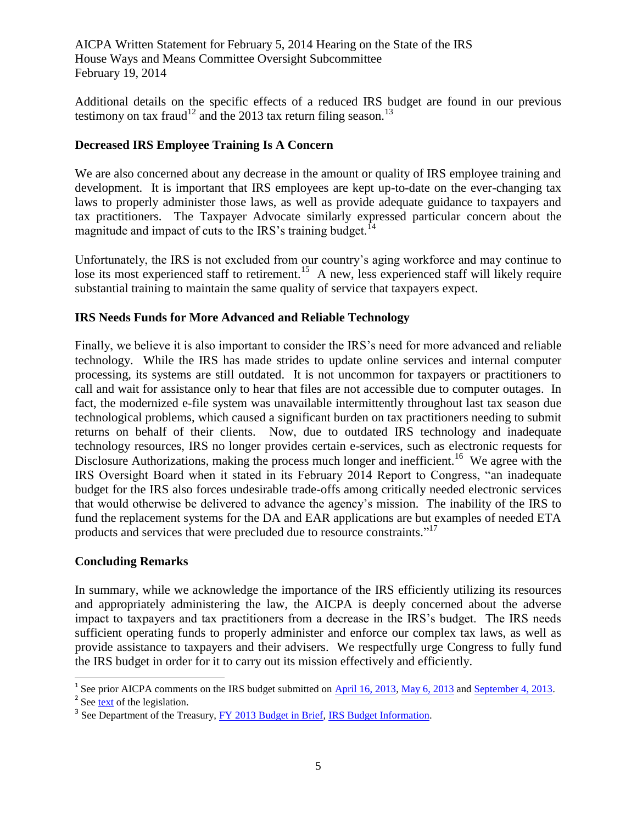Additional details on the specific effects of a reduced IRS budget are found in our previous testimony on tax fraud<sup>12</sup> and the 2013 tax return filing season.<sup>13</sup>

### **Decreased IRS Employee Training Is A Concern**

We are also concerned about any decrease in the amount or quality of IRS employee training and development. It is important that IRS employees are kept up-to-date on the ever-changing tax laws to properly administer those laws, as well as provide adequate guidance to taxpayers and tax practitioners. The Taxpayer Advocate similarly expressed particular concern about the magnitude and impact of cuts to the IRS's training budget.<sup>14</sup>

Unfortunately, the IRS is not excluded from our country's aging workforce and may continue to lose its most experienced staff to retirement.<sup>15</sup> A new, less experienced staff will likely require substantial training to maintain the same quality of service that taxpayers expect.

### **IRS Needs Funds for More Advanced and Reliable Technology**

Finally, we believe it is also important to consider the IRS"s need for more advanced and reliable technology. While the IRS has made strides to update online services and internal computer processing, its systems are still outdated. It is not uncommon for taxpayers or practitioners to call and wait for assistance only to hear that files are not accessible due to computer outages. In fact, the modernized e-file system was unavailable intermittently throughout last tax season due technological problems, which caused a significant burden on tax practitioners needing to submit returns on behalf of their clients. Now, due to outdated IRS technology and inadequate technology resources, IRS no longer provides certain e-services, such as electronic requests for Disclosure Authorizations, making the process much longer and inefficient.<sup>16</sup> We agree with the IRS Oversight Board when it stated in its February 2014 Report to Congress, "an inadequate budget for the IRS also forces undesirable trade-offs among critically needed electronic services that would otherwise be delivered to advance the agency"s mission. The inability of the IRS to fund the replacement systems for the DA and EAR applications are but examples of needed ETA products and services that were precluded due to resource constraints."<sup>17</sup>

#### **Concluding Remarks**

In summary, while we acknowledge the importance of the IRS efficiently utilizing its resources and appropriately administering the law, the AICPA is deeply concerned about the adverse impact to taxpayers and tax practitioners from a decrease in the IRS"s budget. The IRS needs sufficient operating funds to properly administer and enforce our complex tax laws, as well as provide assistance to taxpayers and their advisers. We respectfully urge Congress to fully fund the IRS budget in order for it to carry out its mission effectively and efficiently.

<sup>&</sup>lt;sup>1</sup> See prior AICPA comments on the IRS budget submitted on [April 16, 2013,](http://www.aicpa.org/Advocacy/Tax/TaxLegislationPolicy/DownloadableDocuments/AICPA%27S%20TESTIMONY%20ON%20SENATE%20FINANCE%20COMMITTEE%20HEARING%20ON%20APRIL%2016,%202013.pdf) [May 6, 2013](http://www.aicpa.org/InterestAreas/Tax/Resources/TaxLegislationPolicy/Advocacy/DownloadableDocuments/AICPA%20Testimony%20on%20House%20Ways%20and%20Means%20Hearing%20Testimony-submitted%20050613.pdf) and [September 4, 2013.](http://www.aicpa.org/Advocacy/Tax/DownloadableDocuments/2013-9-04-Appropriations-AICPA-Position-on-IRS-Budget.pdf)

<sup>&</sup>lt;sup>2</sup> See [text](http://www.gpo.gov/fdsys/pkg/BILLS-113hjres59enr/pdf/BILLS-113hjres59enr.pdf) of the legislation.

<sup>&</sup>lt;sup>3</sup> See Department of the Treasury, [FY 2013 Budget in Brief,](http://www.treasury.gov/about/budget-performance/budget-in-brief/Pages/index-13.aspx) [IRS Budget Information.](http://www.treasury.gov/about/budget-performance/budget-in-brief/Documents/15.%20IRS%20BIB%20Final%20ok.pdf)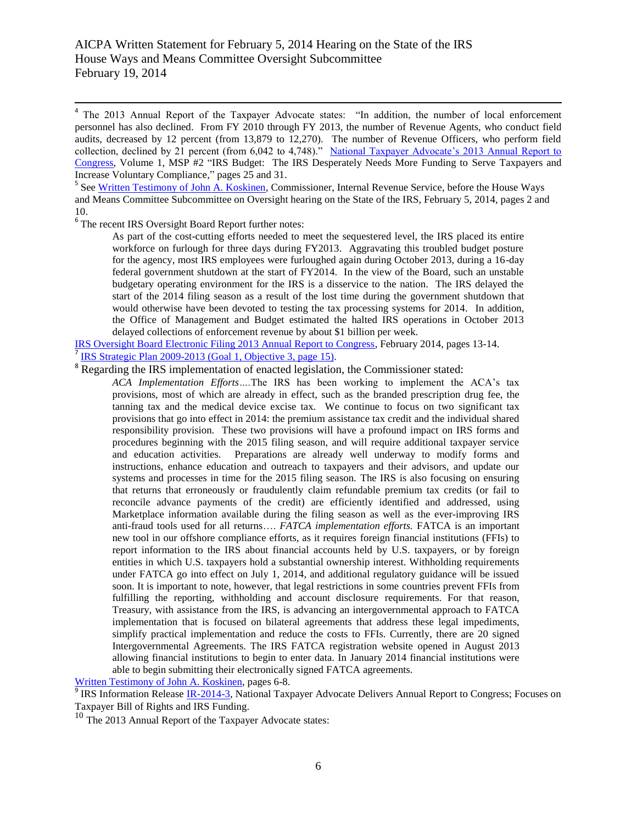4 The 2013 Annual Report of the Taxpayer Advocate states: "In addition, the number of local enforcement personnel has also declined. From FY 2010 through FY 2013, the number of Revenue Agents, who conduct field audits, decreased by 12 percent (from 13,879 to 12,270). The number of Revenue Officers, who perform field collection, declined by 21 percent (from 6,042 to 4,748)." [National Taxpayer Advocate"s 2013 Annual Report to](http://www.taxpayeradvocate.irs.gov/userfiles/file/2013FullReport/IRS-BUDGET-The-IRS-Desperately-Needs-More-Funding-to-Serve-Taxpayers-and-Increase-Voluntary-Compliance.pdf)  [Congress,](http://www.taxpayeradvocate.irs.gov/userfiles/file/2013FullReport/IRS-BUDGET-The-IRS-Desperately-Needs-More-Funding-to-Serve-Taxpayers-and-Increase-Voluntary-Compliance.pdf) Volume 1, MSP #2 "IRS Budget: The IRS Desperately Needs More Funding to Serve Taxpayers and Increase Voluntary Compliance," pages 25 and 31.

<sup>5</sup> See [Written Testimony of John A. Koskinen,](http://waysandmeans.house.gov/UploadedFiles/IRS_2014_testimony_WM20514_FINAL__version_020414.pdf) Commissioner, Internal Revenue Service, before the House Ways and Means Committee Subcommittee on Oversight hearing on the State of the IRS, February 5, 2014, pages 2 and 10.

<sup>6</sup> The recent IRS Oversight Board Report further notes:

As part of the cost-cutting efforts needed to meet the sequestered level, the IRS placed its entire workforce on furlough for three days during FY2013. Aggravating this troubled budget posture for the agency, most IRS employees were furloughed again during October 2013, during a 16-day federal government shutdown at the start of FY2014. In the view of the Board, such an unstable budgetary operating environment for the IRS is a disservice to the nation. The IRS delayed the start of the 2014 filing season as a result of the lost time during the government shutdown that would otherwise have been devoted to testing the tax processing systems for 2014. In addition, the Office of Management and Budget estimated the halted IRS operations in October 2013 delayed collections of enforcement revenue by about \$1 billion per week.

[IRS Oversight Board Electronic Filing 2013 Annual Report to Congress,](http://www.treasury.gov/irsob/reports/2014/IRSOB-E-File%202013.pdf) February 2014, pages 13-14. 7 [IRS Strategic Plan 2009-2013 \(Goal 1, Objective 3, page](http://www.irs.gov/pub/irs-pdf/p3744.pdf) 15).

<sup>8</sup> Regarding the IRS implementation of enacted legislation, the Commissioner stated:

*ACA Implementation Efforts….*The IRS has been working to implement the ACA"s tax provisions, most of which are already in effect, such as the branded prescription drug fee, the tanning tax and the medical device excise tax. We continue to focus on two significant tax provisions that go into effect in 2014: the premium assistance tax credit and the individual shared responsibility provision. These two provisions will have a profound impact on IRS forms and procedures beginning with the 2015 filing season, and will require additional taxpayer service and education activities. Preparations are already well underway to modify forms and instructions, enhance education and outreach to taxpayers and their advisors, and update our systems and processes in time for the 2015 filing season. The IRS is also focusing on ensuring that returns that erroneously or fraudulently claim refundable premium tax credits (or fail to reconcile advance payments of the credit) are efficiently identified and addressed, using Marketplace information available during the filing season as well as the ever-improving IRS anti-fraud tools used for all returns…. *FATCA implementation efforts.* FATCA is an important new tool in our offshore compliance efforts, as it requires foreign financial institutions (FFIs) to report information to the IRS about financial accounts held by U.S. taxpayers, or by foreign entities in which U.S. taxpayers hold a substantial ownership interest. Withholding requirements under FATCA go into effect on July 1, 2014, and additional regulatory guidance will be issued soon. It is important to note, however, that legal restrictions in some countries prevent FFIs from fulfilling the reporting, withholding and account disclosure requirements. For that reason, Treasury, with assistance from the IRS, is advancing an intergovernmental approach to FATCA implementation that is focused on bilateral agreements that address these legal impediments, simplify practical implementation and reduce the costs to FFIs. Currently, there are 20 signed Intergovernmental Agreements. The IRS FATCA registration website opened in August 2013 allowing financial institutions to begin to enter data. In January 2014 financial institutions were able to begin submitting their electronically signed FATCA agreements.

[Written Testimony of John A. Koskinen,](http://waysandmeans.house.gov/UploadedFiles/IRS_2014_testimony_WM20514_FINAL__version_020414.pdf) pages 6-8.

<sup>9</sup> IRS Information Release **IR-2014-3**, National Taxpayer Advocate Delivers Annual Report to Congress; Focuses on Taxpayer Bill of Rights and IRS Funding.

<sup>10</sup> The 2013 Annual Report of the Taxpayer Advocate states: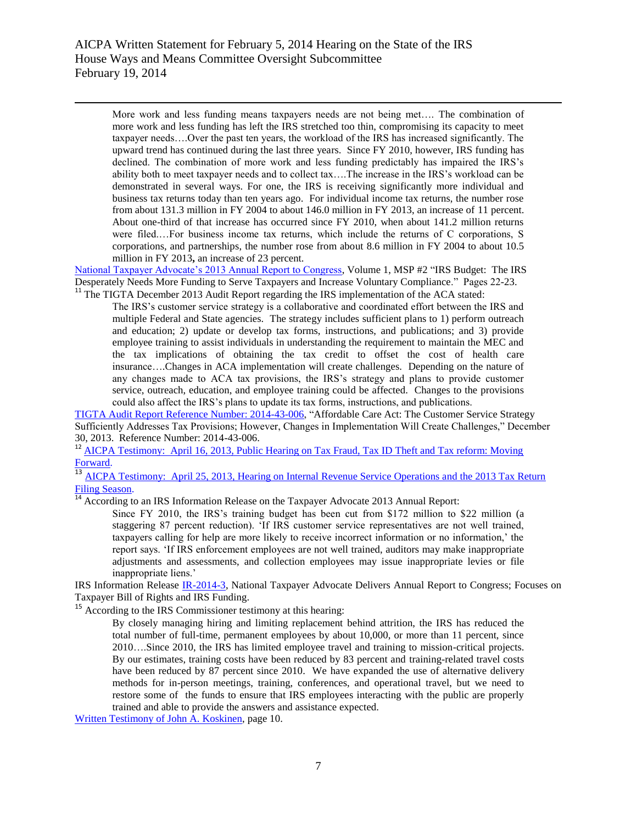$\overline{a}$ 

More work and less funding means taxpayers needs are not being met…. The combination of more work and less funding has left the IRS stretched too thin, compromising its capacity to meet taxpayer needs….Over the past ten years, the workload of the IRS has increased significantly. The upward trend has continued during the last three years. Since FY 2010, however, IRS funding has declined. The combination of more work and less funding predictably has impaired the IRS"s ability both to meet taxpayer needs and to collect tax….The increase in the IRS"s workload can be demonstrated in several ways. For one, the IRS is receiving significantly more individual and business tax returns today than ten years ago. For individual income tax returns, the number rose from about 131.3 million in FY 2004 to about 146.0 million in FY 2013, an increase of 11 percent. About one-third of that increase has occurred since FY 2010, when about 141.2 million returns were filed.…For business income tax returns, which include the returns of C corporations, S corporations, and partnerships, the number rose from about 8.6 million in FY 2004 to about 10.5 million in FY 2013**,** an increase of 23 percent.

National Taxpayer Advocate's 2013 Annual Report to Congress, Volume 1, MSP #2 "IRS Budget: The IRS Desperately Needs More Funding to Serve Taxpayers and Increase Voluntary Compliance." Pages 22-23. <sup>11</sup> The TIGTA December 2013 Audit Report regarding the IRS implementation of the ACA stated:

The IRS"s customer service strategy is a collaborative and coordinated effort between the IRS and multiple Federal and State agencies. The strategy includes sufficient plans to 1) perform outreach and education; 2) update or develop tax forms, instructions, and publications; and 3) provide employee training to assist individuals in understanding the requirement to maintain the MEC and the tax implications of obtaining the tax credit to offset the cost of health care insurance….Changes in ACA implementation will create challenges. Depending on the nature of any changes made to ACA tax provisions, the IRS"s strategy and plans to provide customer service, outreach, education, and employee training could be affected. Changes to the provisions could also affect the IRS"s plans to update its tax forms, instructions, and publications.

TIGTA Audit Report [Reference Number: 2014-43-006,](http://www.treasury.gov/tigta/auditreports/2014reports/201443006fr.pdf) "Affordable Care Act: The Customer Service Strategy Sufficiently Addresses Tax Provisions; However, Changes in Implementation Will Create Challenges," December 30, 2013. Reference Number: 2014-43-006.

<sup>12</sup> AICPA Testimony: April 16, 2013, Public Hearing on Tax Fraud, Tax ID Theft and Tax reform: Moving [Forward.](http://www.aicpa.org/Advocacy/Tax/TaxLegislationPolicy/DownloadableDocuments/AICPA%27S%20TESTIMONY%20ON%20SENATE%20FINANCE%20COMMITTEE%20HEARING%20ON%20APRIL%2016,%202013.pdf)

<sup>13</sup> [AICPA Testimony: April 25, 2013, Hearing on Internal Revenue Service Operations and the 2013 Tax Return](http://www.aicpa.org/interestareas/tax/resources/taxlegislationpolicy/advocacy/downloadabledocuments/aicpa%20testimony%20on%20house%20ways%20and%20means%20hearing%20testimony-submitted%20050613.pdf) [Filing Season.](http://www.aicpa.org/interestareas/tax/resources/taxlegislationpolicy/advocacy/downloadabledocuments/aicpa%20testimony%20on%20house%20ways%20and%20means%20hearing%20testimony-submitted%20050613.pdf)

According to an IRS Information Release on the Taxpayer Advocate 2013 Annual Report:

Since FY 2010, the IRS"s training budget has been cut from \$172 million to \$22 million (a staggering 87 percent reduction). "If IRS customer service representatives are not well trained, taxpayers calling for help are more likely to receive incorrect information or no information," the report says. "If IRS enforcement employees are not well trained, auditors may make inappropriate adjustments and assessments, and collection employees may issue inappropriate levies or file inappropriate liens."

IRS Information Release [IR-2014-3,](http://www.irs.gov/uac/Newsroom/National-Taxpayer-Advocate-Delivers-Annual-Report-to-Congress;-Focuses-on-Taxpayer-Bill-of-Rights-and-IRS-Funding) National Taxpayer Advocate Delivers Annual Report to Congress; Focuses on Taxpayer Bill of Rights and IRS Funding.

<sup>15</sup> According to the IRS Commissioner testimony at this hearing:

By closely managing hiring and limiting replacement behind attrition, the IRS has reduced the total number of full-time, permanent employees by about 10,000, or more than 11 percent, since 2010….Since 2010, the IRS has limited employee travel and training to mission-critical projects. By our estimates, training costs have been reduced by 83 percent and training-related travel costs have been reduced by 87 percent since 2010. We have expanded the use of alternative delivery methods for in-person meetings, training, conferences, and operational travel, but we need to restore some of the funds to ensure that IRS employees interacting with the public are properly trained and able to provide the answers and assistance expected.

[Written Testimony of John A. Koskinen,](http://waysandmeans.house.gov/UploadedFiles/IRS_2014_testimony_WM20514_FINAL__version_020414.pdf) page 10.